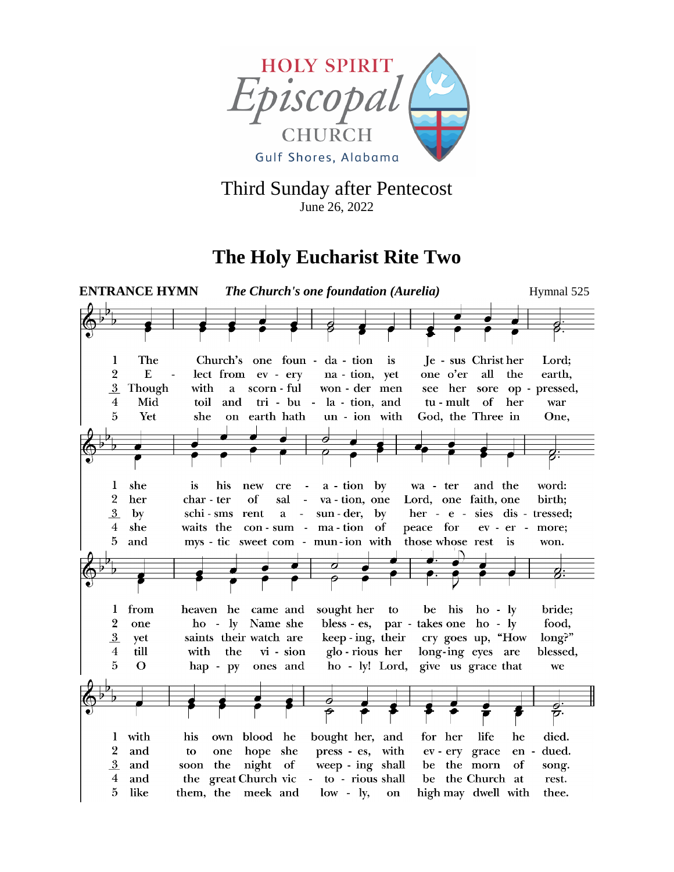

### Third Sunday after Pentecost June 26, 2022

### **The Holy Eucharist Rite Two**

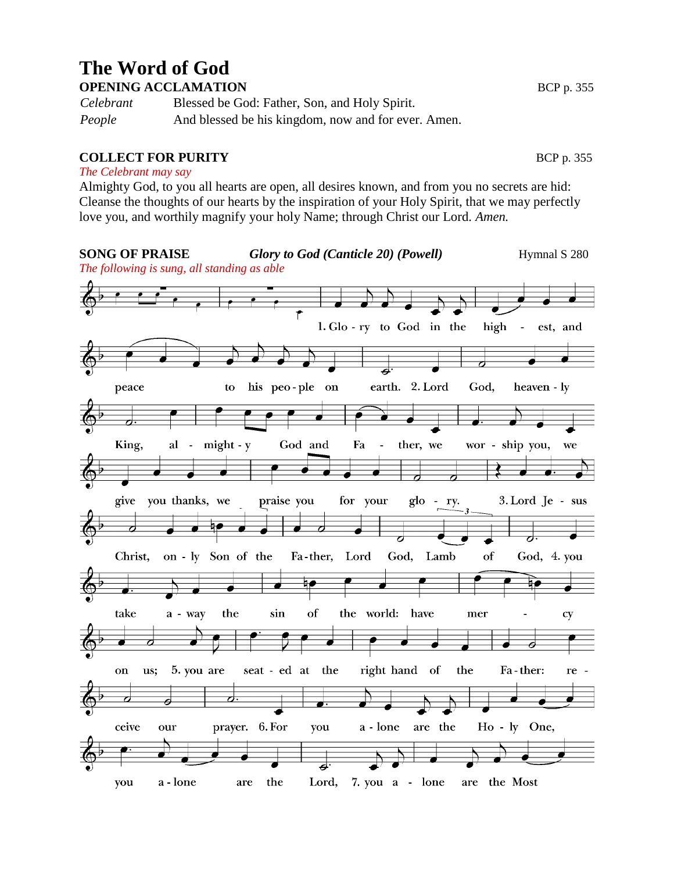### **The Word of God**

**OPENING ACCLAMATION** BCP p. 355

*Celebrant* Blessed be God: Father, Son, and Holy Spirit. *People* And blessed be his kingdom, now and for ever. Amen.

### **COLLECT FOR PURITY** BCP p. 355

### *The Celebrant may say*

Almighty God, to you all hearts are open, all desires known, and from you no secrets are hid: Cleanse the thoughts of our hearts by the inspiration of your Holy Spirit, that we may perfectly love you, and worthily magnify your holy Name; through Christ our Lord. *Amen.*

**SONG OF PRAISE** *Glory to God (Canticle 20) (Powell) Hymnal S 280 The following is sung, all standing as able* $\mathbf{r}$ 1. Glo-ry to God in the high est, and  $\sim$ his peo-ple earth. 2. Lord heaven - ly peace to on God, King, al  $might - y$ God and Fa ther, we wor - ship you,  $\sim$ we give you thanks, we praise you for your 3. Lord Je - sus glo  $\omega$ ry. ₽ Christ, on - ly Son of the Fa-ther, Lord God, Lamb of God, 4. you of take a - way the sin the world: have mer cy  $\overline{\phantom{a}}$ right hand of us; 5. you are seat - ed at the the Fa-ther:  $\mathbf{on}$ re ceive our prayer. 6. For you a - lone are the Ho - ly One, a - lone the Lord, 7. you a - lone you are are the Most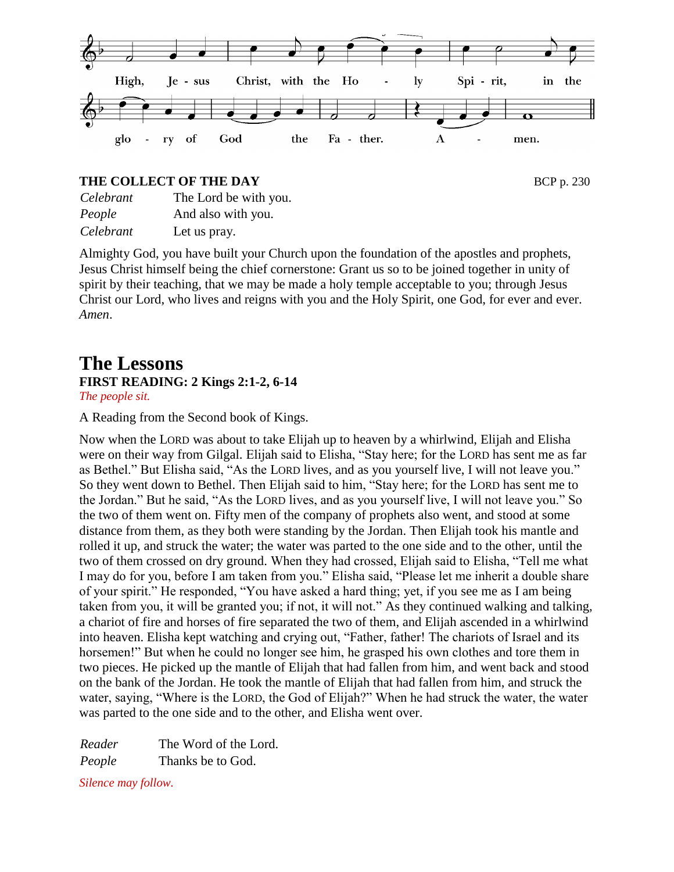

**THE COLLECT OF THE DAY** BCP p. 230

| Celebrant | The Lord be with you. |
|-----------|-----------------------|
| People    | And also with you.    |
| Celebrant | Let us pray.          |

Almighty God, you have built your Church upon the foundation of the apostles and prophets, Jesus Christ himself being the chief cornerstone: Grant us so to be joined together in unity of spirit by their teaching, that we may be made a holy temple acceptable to you; through Jesus Christ our Lord, who lives and reigns with you and the Holy Spirit, one God, for ever and ever. *Amen*.

### **The Lessons**

### **FIRST READING: 2 Kings 2:1-2, 6-14**

*The people sit.*

A Reading from the Second book of Kings.

Now when the LORD was about to take Elijah up to heaven by a whirlwind, Elijah and Elisha were on their way from Gilgal. Elijah said to Elisha, "Stay here; for the LORD has sent me as far as Bethel." But Elisha said, "As the LORD lives, and as you yourself live, I will not leave you." So they went down to Bethel. Then Elijah said to him, "Stay here; for the LORD has sent me to the Jordan." But he said, "As the LORD lives, and as you yourself live, I will not leave you." So the two of them went on. Fifty men of the company of prophets also went, and stood at some distance from them, as they both were standing by the Jordan. Then Elijah took his mantle and rolled it up, and struck the water; the water was parted to the one side and to the other, until the two of them crossed on dry ground. When they had crossed, Elijah said to Elisha, "Tell me what I may do for you, before I am taken from you." Elisha said, "Please let me inherit a double share of your spirit." He responded, "You have asked a hard thing; yet, if you see me as I am being taken from you, it will be granted you; if not, it will not." As they continued walking and talking, a chariot of fire and horses of fire separated the two of them, and Elijah ascended in a whirlwind into heaven. Elisha kept watching and crying out, "Father, father! The chariots of Israel and its horsemen!" But when he could no longer see him, he grasped his own clothes and tore them in two pieces. He picked up the mantle of Elijah that had fallen from him, and went back and stood on the bank of the Jordan. He took the mantle of Elijah that had fallen from him, and struck the water, saying, "Where is the LORD, the God of Elijah?" When he had struck the water, the water was parted to the one side and to the other, and Elisha went over.

*Reader* The Word of the Lord. *People* Thanks be to God.

*Silence may follow.*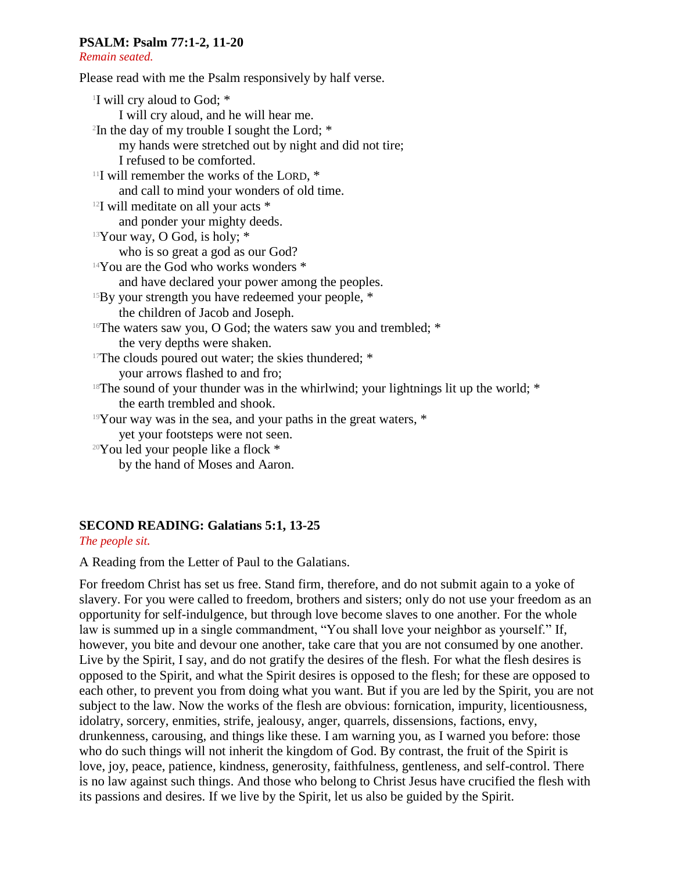### **PSALM: Psalm 77:1-2, 11-20**

*Remain seated.*

Please read with me the Psalm responsively by half verse.

| <sup>1</sup> I will cry aloud to God; *                                                             |
|-----------------------------------------------------------------------------------------------------|
| I will cry aloud, and he will hear me.                                                              |
| <sup>2</sup> In the day of my trouble I sought the Lord; $*$                                        |
| my hands were stretched out by night and did not tire;                                              |
| I refused to be comforted.                                                                          |
| <sup>11</sup> I will remember the works of the LORD, $*$                                            |
| and call to mind your wonders of old time.                                                          |
| <sup>12</sup> I will meditate on all your acts $*$                                                  |
| and ponder your mighty deeds.                                                                       |
| <sup>13</sup> Your way, O God, is holy; *                                                           |
| who is so great a god as our God?                                                                   |
| <sup>14</sup> You are the God who works wonders *                                                   |
| and have declared your power among the peoples.                                                     |
| <sup>15</sup> By your strength you have redeemed your people, *                                     |
| the children of Jacob and Joseph.                                                                   |
| <sup>16</sup> The waters saw you, O God; the waters saw you and trembled; *                         |
| the very depths were shaken.                                                                        |
| <sup>17</sup> The clouds poured out water; the skies thundered; *                                   |
| your arrows flashed to and fro;                                                                     |
| <sup>18</sup> The sound of your thunder was in the whirlwind; your lightnings lit up the world; $*$ |
| the earth trembled and shook.                                                                       |
| <sup>19</sup> Your way was in the sea, and your paths in the great waters, $*$                      |
| yet your footsteps were not seen.                                                                   |
| <sup>20</sup> You led your people like a flock *                                                    |
| by the hand of Moses and Aaron.                                                                     |

### **SECOND READING: Galatians 5:1, 13-25**

### *The people sit.*

A Reading from the Letter of Paul to the Galatians.

For freedom Christ has set us free. Stand firm, therefore, and do not submit again to a yoke of slavery. For you were called to freedom, brothers and sisters; only do not use your freedom as an opportunity for self-indulgence, but through love become slaves to one another. For the whole law is summed up in a single commandment, "You shall love your neighbor as yourself." If, however, you bite and devour one another, take care that you are not consumed by one another. Live by the Spirit, I say, and do not gratify the desires of the flesh. For what the flesh desires is opposed to the Spirit, and what the Spirit desires is opposed to the flesh; for these are opposed to each other, to prevent you from doing what you want. But if you are led by the Spirit, you are not subject to the law. Now the works of the flesh are obvious: fornication, impurity, licentiousness, idolatry, sorcery, enmities, strife, jealousy, anger, quarrels, dissensions, factions, envy, drunkenness, carousing, and things like these. I am warning you, as I warned you before: those who do such things will not inherit the kingdom of God. By contrast, the fruit of the Spirit is love, joy, peace, patience, kindness, generosity, faithfulness, gentleness, and self-control. There is no law against such things. And those who belong to Christ Jesus have crucified the flesh with its passions and desires. If we live by the Spirit, let us also be guided by the Spirit.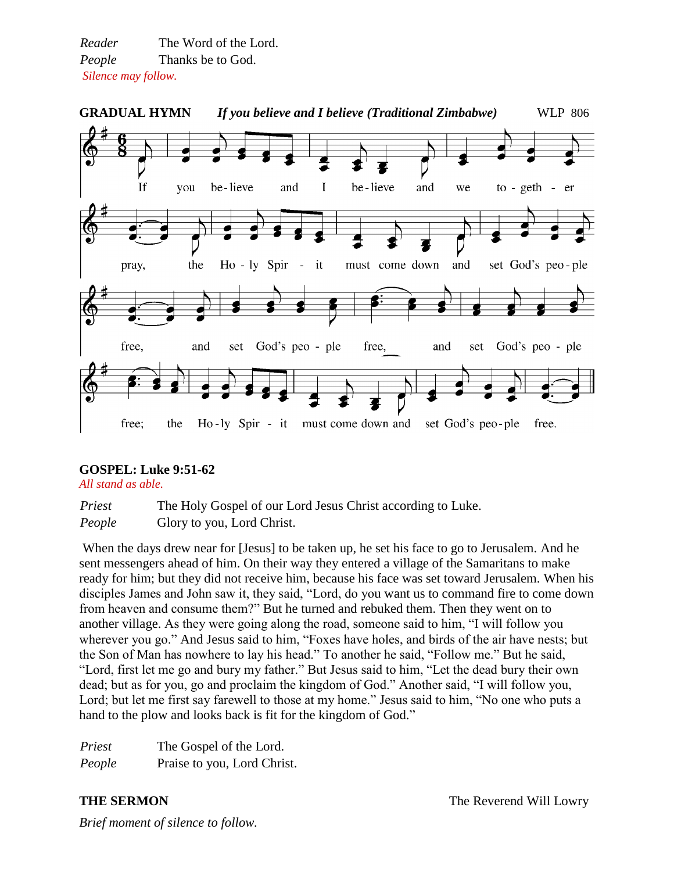*Reader* The Word of the Lord. *People* Thanks be to God. *Silence may follow.*



### **GOSPEL: Luke 9:51-62**

*All stand as able.*

*Priest* The Holy Gospel of our Lord Jesus Christ according to Luke. *People* Glory to you, Lord Christ.

When the days drew near for [Jesus] to be taken up, he set his face to go to Jerusalem. And he sent messengers ahead of him. On their way they entered a village of the Samaritans to make ready for him; but they did not receive him, because his face was set toward Jerusalem. When his disciples James and John saw it, they said, "Lord, do you want us to command fire to come down from heaven and consume them?" But he turned and rebuked them. Then they went on to another village. As they were going along the road, someone said to him, "I will follow you wherever you go." And Jesus said to him, "Foxes have holes, and birds of the air have nests; but the Son of Man has nowhere to lay his head." To another he said, "Follow me." But he said, "Lord, first let me go and bury my father." But Jesus said to him, "Let the dead bury their own dead; but as for you, go and proclaim the kingdom of God." Another said, "I will follow you, Lord; but let me first say farewell to those at my home." Jesus said to him, "No one who puts a hand to the plow and looks back is fit for the kingdom of God."

| Priest | The Gospel of the Lord.     |
|--------|-----------------------------|
| People | Praise to you, Lord Christ. |

**THE SERMON** The Reverend Will Lowry

*Brief moment of silence to follow.*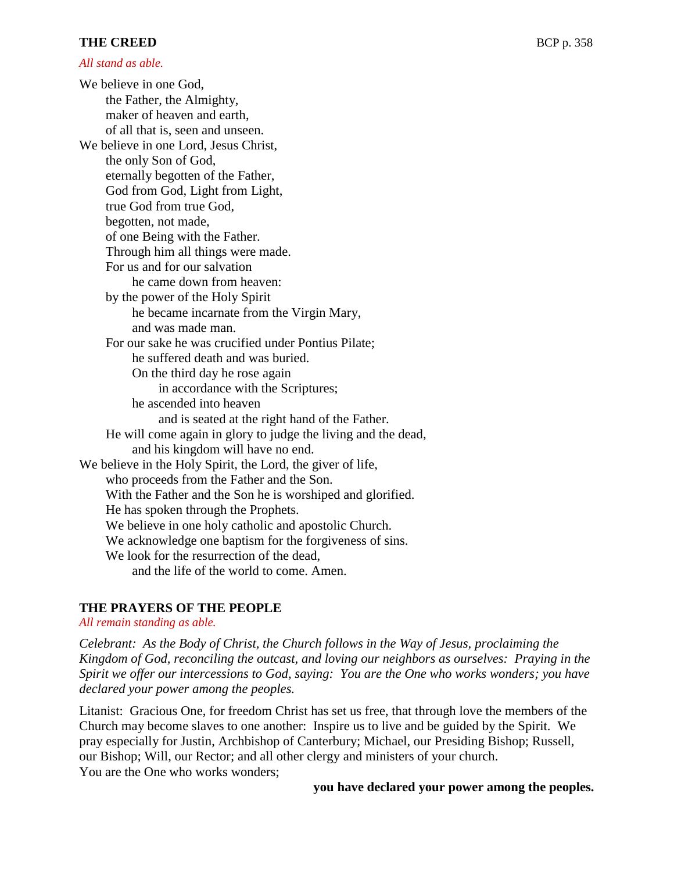### **THE CREED** BCP p. 358

#### *All stand as able.*

We believe in one God, the Father, the Almighty, maker of heaven and earth, of all that is, seen and unseen. We believe in one Lord, Jesus Christ, the only Son of God, eternally begotten of the Father, God from God, Light from Light, true God from true God, begotten, not made, of one Being with the Father. Through him all things were made. For us and for our salvation he came down from heaven: by the power of the Holy Spirit he became incarnate from the Virgin Mary, and was made man. For our sake he was crucified under Pontius Pilate; he suffered death and was buried. On the third day he rose again in accordance with the Scriptures; he ascended into heaven and is seated at the right hand of the Father. He will come again in glory to judge the living and the dead, and his kingdom will have no end. We believe in the Holy Spirit, the Lord, the giver of life, who proceeds from the Father and the Son. With the Father and the Son he is worshiped and glorified. He has spoken through the Prophets. We believe in one holy catholic and apostolic Church. We acknowledge one baptism for the forgiveness of sins. We look for the resurrection of the dead, and the life of the world to come. Amen.

### **THE PRAYERS OF THE PEOPLE**

### *All remain standing as able.*

*Celebrant: As the Body of Christ, the Church follows in the Way of Jesus, proclaiming the Kingdom of God, reconciling the outcast, and loving our neighbors as ourselves: Praying in the Spirit we offer our intercessions to God, saying: You are the One who works wonders; you have declared your power among the peoples.*

Litanist: Gracious One, for freedom Christ has set us free, that through love the members of the Church may become slaves to one another: Inspire us to live and be guided by the Spirit. We pray especially for Justin, Archbishop of Canterbury; Michael, our Presiding Bishop; Russell, our Bishop; Will, our Rector; and all other clergy and ministers of your church. You are the One who works wonders;

**you have declared your power among the peoples.**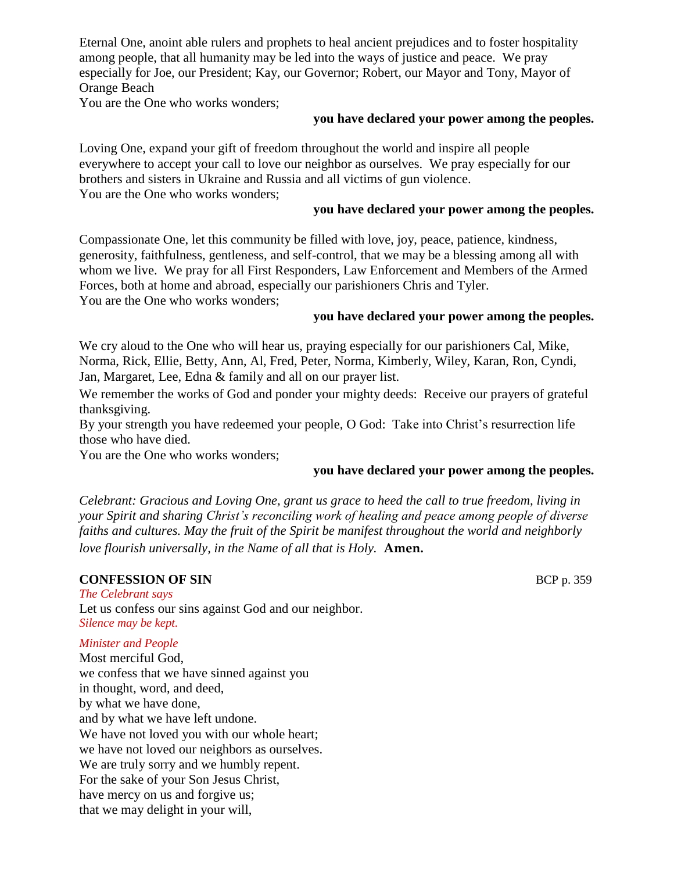Eternal One, anoint able rulers and prophets to heal ancient prejudices and to foster hospitality among people, that all humanity may be led into the ways of justice and peace. We pray especially for Joe, our President; Kay, our Governor; Robert, our Mayor and Tony, Mayor of Orange Beach

You are the One who works wonders;

### **you have declared your power among the peoples.**

Loving One, expand your gift of freedom throughout the world and inspire all people everywhere to accept your call to love our neighbor as ourselves. We pray especially for our brothers and sisters in Ukraine and Russia and all victims of gun violence. You are the One who works wonders;

### **you have declared your power among the peoples.**

Compassionate One, let this community be filled with love, joy, peace, patience, kindness, generosity, faithfulness, gentleness, and self-control, that we may be a blessing among all with whom we live. We pray for all First Responders, Law Enforcement and Members of the Armed Forces, both at home and abroad, especially our parishioners Chris and Tyler. You are the One who works wonders;

### **you have declared your power among the peoples.**

We cry aloud to the One who will hear us, praying especially for our parishioners Cal, Mike, Norma, Rick, Ellie, Betty, Ann, Al, Fred, Peter, Norma, Kimberly, Wiley, Karan, Ron, Cyndi, Jan, Margaret, Lee, Edna & family and all on our prayer list.

We remember the works of God and ponder your mighty deeds: Receive our prayers of grateful thanksgiving.

By your strength you have redeemed your people, O God: Take into Christ's resurrection life those who have died.

You are the One who works wonders;

### **you have declared your power among the peoples.**

*Celebrant: Gracious and Loving One, grant us grace to heed the call to true freedom, living in your Spirit and sharing Christ's reconciling work of healing and peace among people of diverse faiths and cultures. May the fruit of the Spirit be manifest throughout the world and neighborly love flourish universally, in the Name of all that is Holy.* **Amen.**

### **CONFESSION OF SIN** BCP p. 359

*The Celebrant says*  Let us confess our sins against God and our neighbor. *Silence may be kept.*

### *Minister and People*

Most merciful God, we confess that we have sinned against you in thought, word, and deed, by what we have done, and by what we have left undone. We have not loved you with our whole heart; we have not loved our neighbors as ourselves. We are truly sorry and we humbly repent. For the sake of your Son Jesus Christ, have mercy on us and forgive us; that we may delight in your will,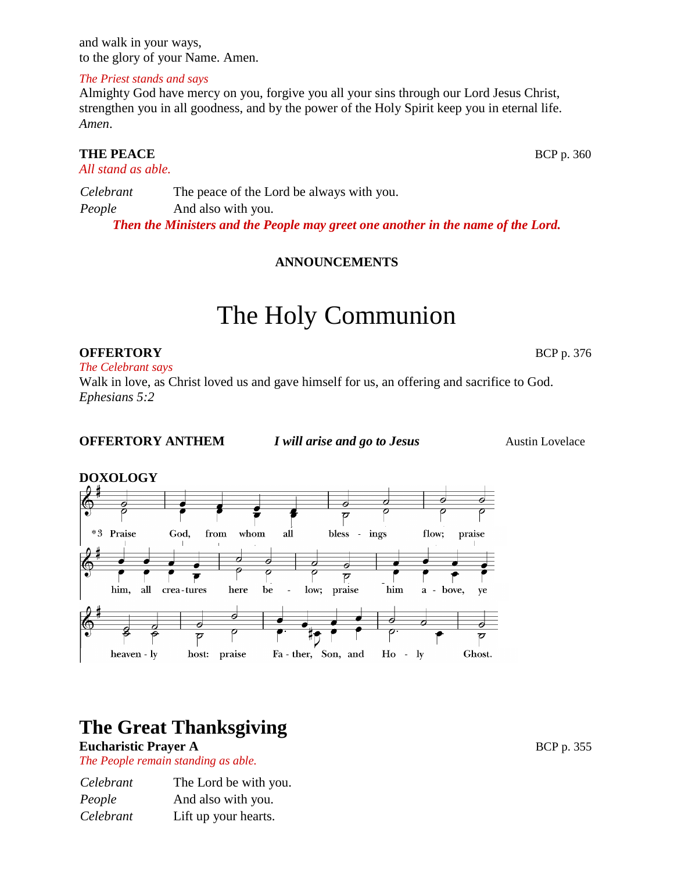and walk in your ways, to the glory of your Name. Amen.

*The Priest stands and says* 

Almighty God have mercy on you, forgive you all your sins through our Lord Jesus Christ, strengthen you in all goodness, and by the power of the Holy Spirit keep you in eternal life. *Amen*.

### **THE PEACE** BCP p. 360

*All stand as able.*

*Celebrant* The peace of the Lord be always with you. *People* And also with you. *Then the Ministers and the People may greet one another in the name of the Lord.*

### **ANNOUNCEMENTS**

## The Holy Communion

### **OFFERTORY** BCP p. 376

*The Celebrant says* 

Walk in love, as Christ loved us and gave himself for us, an offering and sacrifice to God. *Ephesians 5:2*

### **OFFERTORY ANTHEM** *I will arise and go to Jesus*Austin Lovelace



### **The Great Thanksgiving**

### **Eucharistic Prayer A** BCP p. 355

*The People remain standing as able.*

| Celebrant | The Lord be with you. |
|-----------|-----------------------|
| People    | And also with you.    |
| Celebrant | Lift up your hearts.  |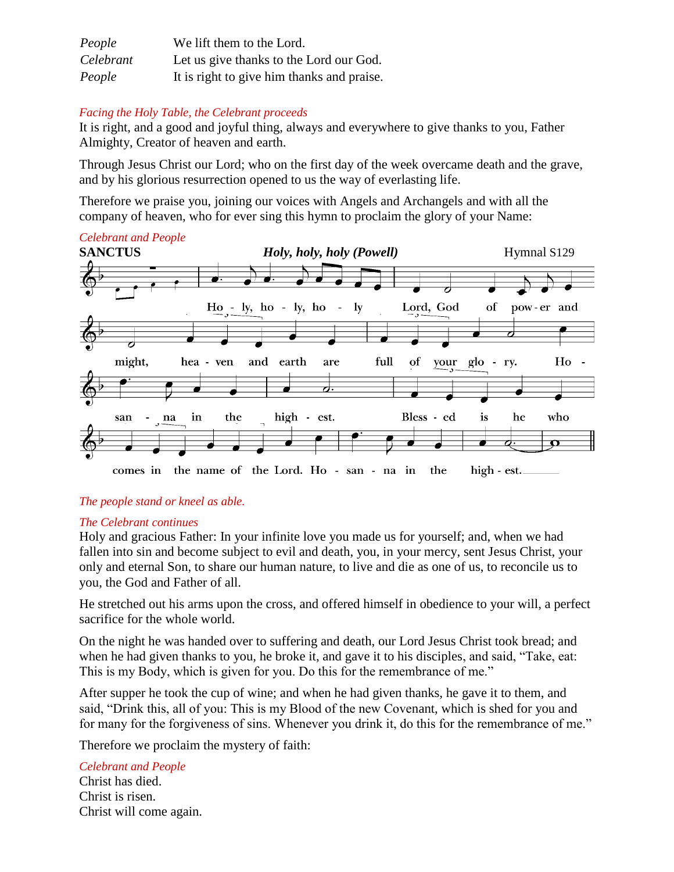| People    | We lift them to the Lord.                  |
|-----------|--------------------------------------------|
| Celebrant | Let us give thanks to the Lord our God.    |
| People    | It is right to give him thanks and praise. |

### *Facing the Holy Table, the Celebrant proceeds*

It is right, and a good and joyful thing, always and everywhere to give thanks to you, Father Almighty, Creator of heaven and earth.

Through Jesus Christ our Lord; who on the first day of the week overcame death and the grave, and by his glorious resurrection opened to us the way of everlasting life.

Therefore we praise you, joining our voices with Angels and Archangels and with all the company of heaven, who for ever sing this hymn to proclaim the glory of your Name:



### *The people stand or kneel as able.*

### *The Celebrant continues*

Holy and gracious Father: In your infinite love you made us for yourself; and, when we had fallen into sin and become subject to evil and death, you, in your mercy, sent Jesus Christ, your only and eternal Son, to share our human nature, to live and die as one of us, to reconcile us to you, the God and Father of all.

He stretched out his arms upon the cross, and offered himself in obedience to your will, a perfect sacrifice for the whole world.

On the night he was handed over to suffering and death, our Lord Jesus Christ took bread; and when he had given thanks to you, he broke it, and gave it to his disciples, and said, "Take, eat: This is my Body, which is given for you. Do this for the remembrance of me."

After supper he took the cup of wine; and when he had given thanks, he gave it to them, and said, "Drink this, all of you: This is my Blood of the new Covenant, which is shed for you and for many for the forgiveness of sins. Whenever you drink it, do this for the remembrance of me."

Therefore we proclaim the mystery of faith:

### *Celebrant and People* Christ has died.

Christ is risen. Christ will come again.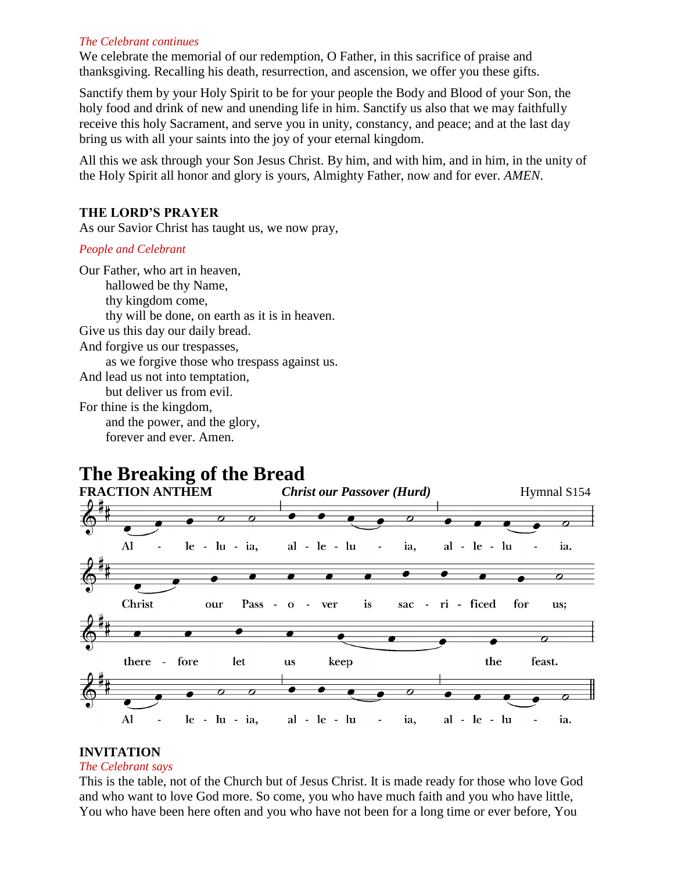### *The Celebrant continues*

We celebrate the memorial of our redemption, O Father, in this sacrifice of praise and thanksgiving. Recalling his death, resurrection, and ascension, we offer you these gifts.

Sanctify them by your Holy Spirit to be for your people the Body and Blood of your Son, the holy food and drink of new and unending life in him. Sanctify us also that we may faithfully receive this holy Sacrament, and serve you in unity, constancy, and peace; and at the last day bring us with all your saints into the joy of your eternal kingdom.

All this we ask through your Son Jesus Christ. By him, and with him, and in him, in the unity of the Holy Spirit all honor and glory is yours, Almighty Father, now and for ever. *AMEN*.

### **THE LORD'S PRAYER**

As our Savior Christ has taught us, we now pray,

### *People and Celebrant*

Our Father, who art in heaven, hallowed be thy Name, thy kingdom come, thy will be done, on earth as it is in heaven. Give us this day our daily bread. And forgive us our trespasses, as we forgive those who trespass against us. And lead us not into temptation, but deliver us from evil. For thine is the kingdom, and the power, and the glory, forever and ever. Amen.

# **The Breaking of the Bread FRACTION ANTHEM**



### **INVITATION**

### *The Celebrant says*

This is the table, not of the Church but of Jesus Christ. It is made ready for those who love God and who want to love God more. So come, you who have much faith and you who have little, You who have been here often and you who have not been for a long time or ever before, You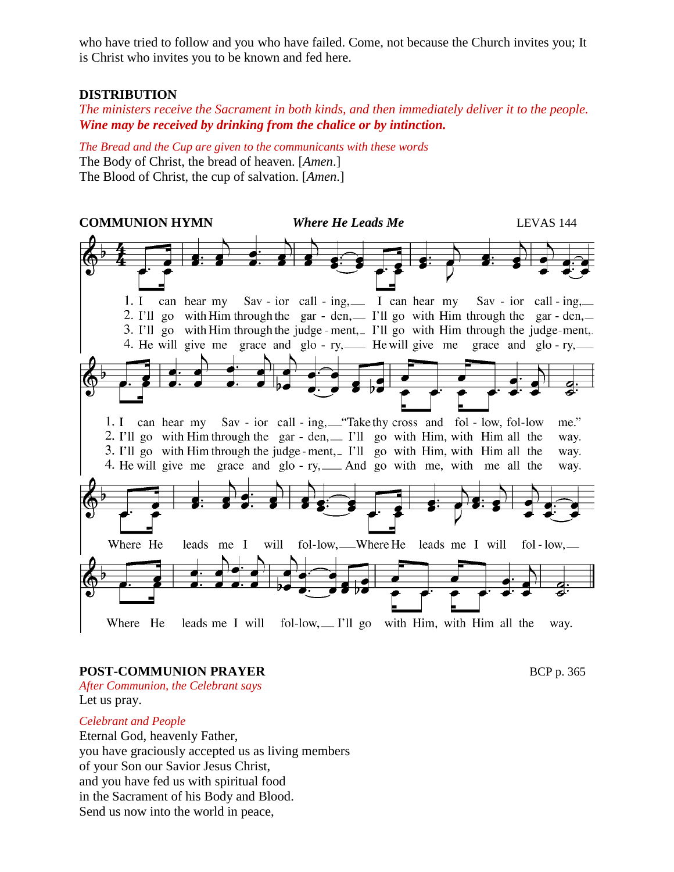who have tried to follow and you who have failed. Come, not because the Church invites you; It is Christ who invites you to be known and fed here.

### **DISTRIBUTION**

### *The ministers receive the Sacrament in both kinds, and then immediately deliver it to the people. Wine may be received by drinking from the chalice or by intinction.*

*The Bread and the Cup are given to the communicants with these words*

The Body of Christ, the bread of heaven. [*Amen*.] The Blood of Christ, the cup of salvation. [*Amen*.]



### **POST-COMMUNION PRAYER** BCP p. 365

*After Communion, the Celebrant says*  Let us pray.

*Celebrant and People*  Eternal God, heavenly Father, you have graciously accepted us as living members

of your Son our Savior Jesus Christ, and you have fed us with spiritual food in the Sacrament of his Body and Blood. Send us now into the world in peace,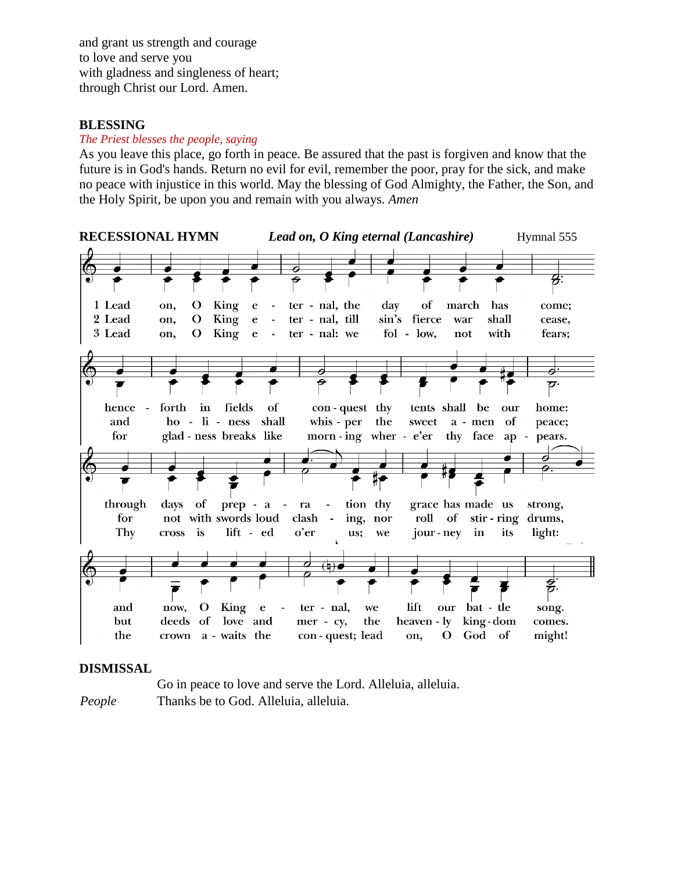and grant us strength and courage to love and serve you with gladness and singleness of heart; through Christ our Lord. Amen.

### **BLESSING**

### *The Priest blesses the people, saying*

As you leave this place, go forth in peace. Be assured that the past is forgiven and know that the future is in God's hands. Return no evil for evil, remember the poor, pray for the sick, and make no peace with injustice in this world. May the blessing of God Almighty, the Father, the Son, and the Holy Spirit, be upon you and remain with you always. *Amen*



### **DISMISSAL**

Go in peace to love and serve the Lord. Alleluia, alleluia. *People* Thanks be to God. Alleluia, alleluia.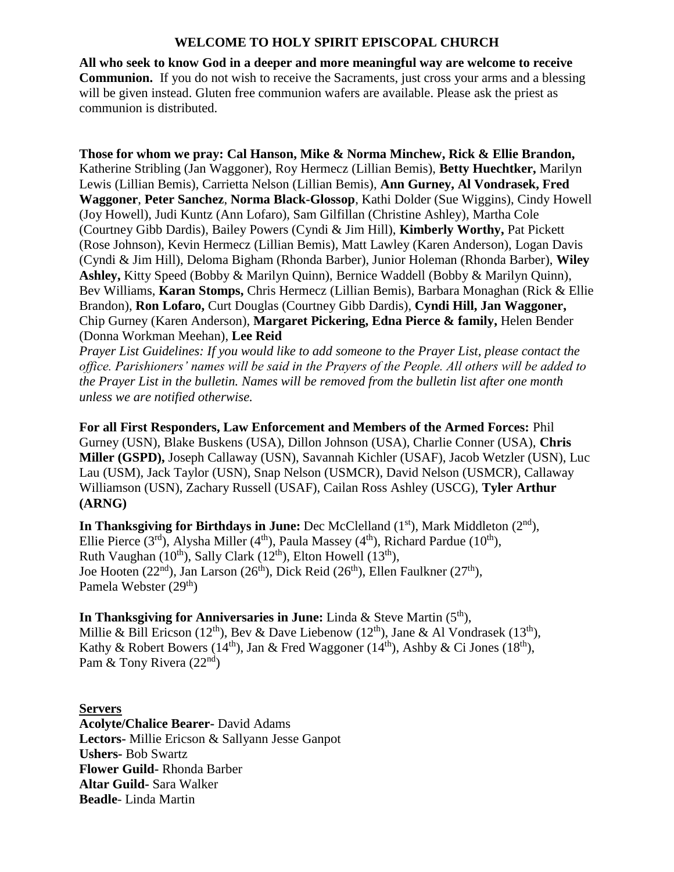### **WELCOME TO HOLY SPIRIT EPISCOPAL CHURCH**

**All who seek to know God in a deeper and more meaningful way are welcome to receive Communion.** If you do not wish to receive the Sacraments, just cross your arms and a blessing will be given instead. Gluten free communion wafers are available. Please ask the priest as communion is distributed.

**Those for whom we pray: Cal Hanson, Mike & Norma Minchew, Rick & Ellie Brandon,** Katherine Stribling (Jan Waggoner), Roy Hermecz (Lillian Bemis), **Betty Huechtker,** Marilyn Lewis (Lillian Bemis), Carrietta Nelson (Lillian Bemis), **Ann Gurney, Al Vondrasek, Fred Waggoner**, **Peter Sanchez**, **Norma Black-Glossop**, Kathi Dolder (Sue Wiggins), Cindy Howell (Joy Howell), Judi Kuntz (Ann Lofaro), Sam Gilfillan (Christine Ashley), Martha Cole (Courtney Gibb Dardis), Bailey Powers (Cyndi & Jim Hill), **Kimberly Worthy,** Pat Pickett (Rose Johnson), Kevin Hermecz (Lillian Bemis), Matt Lawley (Karen Anderson), Logan Davis (Cyndi & Jim Hill), Deloma Bigham (Rhonda Barber), Junior Holeman (Rhonda Barber), **Wiley Ashley,** Kitty Speed (Bobby & Marilyn Quinn), Bernice Waddell (Bobby & Marilyn Quinn), Bev Williams, **Karan Stomps,** Chris Hermecz (Lillian Bemis), Barbara Monaghan (Rick & Ellie Brandon), **Ron Lofaro,** Curt Douglas (Courtney Gibb Dardis), **Cyndi Hill, Jan Waggoner,**  Chip Gurney (Karen Anderson), **Margaret Pickering, Edna Pierce & family,** Helen Bender (Donna Workman Meehan), **Lee Reid**

*Prayer List Guidelines: If you would like to add someone to the Prayer List, please contact the office. Parishioners' names will be said in the Prayers of the People. All others will be added to the Prayer List in the bulletin. Names will be removed from the bulletin list after one month unless we are notified otherwise.*

**For all First Responders, Law Enforcement and Members of the Armed Forces:** Phil Gurney (USN), Blake Buskens (USA), Dillon Johnson (USA), Charlie Conner (USA), **Chris Miller (GSPD),** Joseph Callaway (USN), Savannah Kichler (USAF), Jacob Wetzler (USN), Luc Lau (USM), Jack Taylor (USN), Snap Nelson (USMCR), David Nelson (USMCR), Callaway Williamson (USN), Zachary Russell (USAF), Cailan Ross Ashley (USCG), **Tyler Arthur (ARNG)**

**In Thanksgiving for Birthdays in June:** Dec McClelland (1<sup>st</sup>), Mark Middleton (2<sup>nd</sup>), Ellie Pierce (3<sup>rd</sup>), Alysha Miller (4<sup>th</sup>), Paula Massey (4<sup>th</sup>), Richard Pardue (10<sup>th</sup>), Ruth Vaughan (10<sup>th</sup>), Sally Clark (12<sup>th</sup>), Elton Howell (13<sup>th</sup>), Joe Hooten (22<sup>nd</sup>), Jan Larson (26<sup>th</sup>), Dick Reid (26<sup>th</sup>), Ellen Faulkner (27<sup>th</sup>), Pamela Webster  $(29<sup>th</sup>)$ 

In Thanksgiving for Anniversaries in June: Linda & Steve Martin  $(5<sup>th</sup>)$ , Millie & Bill Ericson (12<sup>th</sup>), Bev & Dave Liebenow (12<sup>th</sup>), Jane & Al Vondrasek (13<sup>th</sup>), Kathy & Robert Bowers (14<sup>th</sup>), Jan & Fred Waggoner (14<sup>th</sup>), Ashby & Ci Jones (18<sup>th</sup>), Pam & Tony Rivera  $(22<sup>nd</sup>)$ 

### **Servers**

**Acolyte/Chalice Bearer-** David Adams **Lectors-** Millie Ericson & Sallyann Jesse Ganpot **Ushers-** Bob Swartz **Flower Guild-** Rhonda Barber **Altar Guild-** Sara Walker **Beadle**- Linda Martin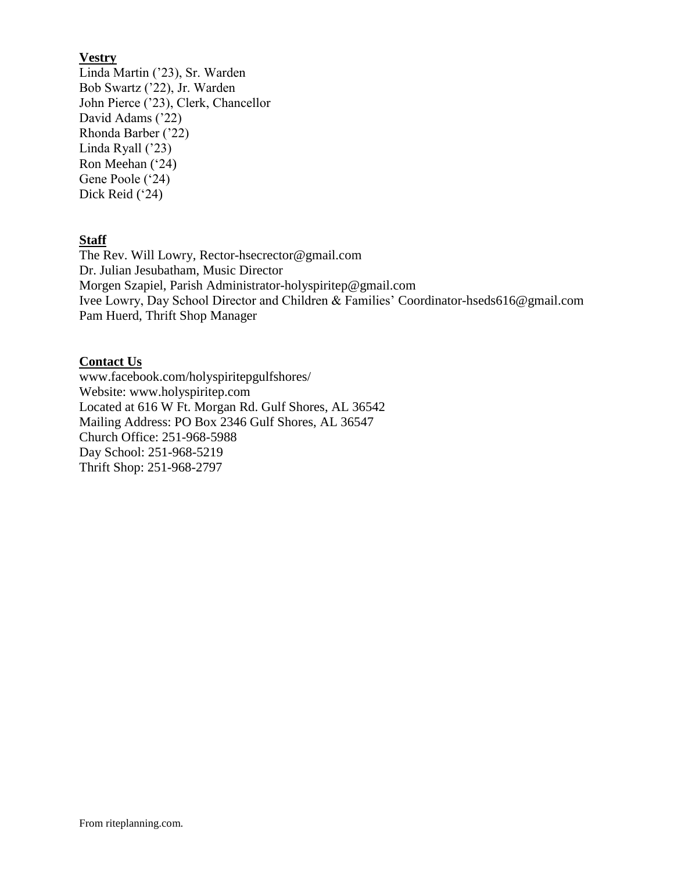### **Vestry**

Linda Martin ('23), Sr. Warden Bob Swartz ('22), Jr. Warden John Pierce ('23), Clerk, Chancellor David Adams ('22) Rhonda Barber ('22) Linda Ryall ('23) Ron Meehan ('24) Gene Poole ('24) Dick Reid ('24)

### **Staff**

The Rev. Will Lowry, Rector-hsecrector@gmail.com Dr. Julian Jesubatham, Music Director Morgen Szapiel, Parish Administrator-holyspiritep@gmail.com Ivee Lowry, Day School Director and Children & Families' Coordinator-hseds616@gmail.com Pam Huerd, Thrift Shop Manager

### **Contact Us**

www.facebook.com/holyspiritepgulfshores/ Website: www.holyspiritep.com Located at 616 W Ft. Morgan Rd. Gulf Shores, AL 36542 Mailing Address: PO Box 2346 Gulf Shores, AL 36547 Church Office: 251-968-5988 Day School: 251-968-5219 Thrift Shop: 251-968-2797